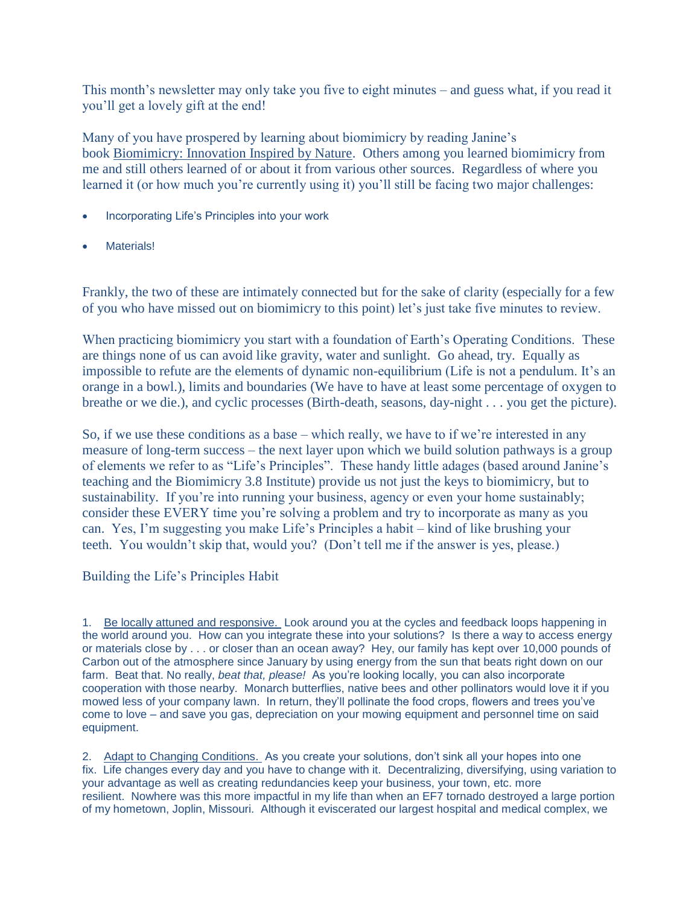This month's newsletter may only take you five to eight minutes – and guess what, if you read it you'll get a lovely gift at the end!

Many of you have prospered by learning about biomimicry by reading Janine's book Biomimicry: Innovation Inspired by Nature. Others among you learned biomimicry from me and still others learned of or about it from various other sources. Regardless of where you learned it (or how much you're currently using it) you'll still be facing two major challenges:

- Incorporating Life's Principles into your work
- Materials!

Frankly, the two of these are intimately connected but for the sake of clarity (especially for a few of you who have missed out on biomimicry to this point) let's just take five minutes to review.

When practicing biomimicry you start with a foundation of Earth's Operating Conditions. These are things none of us can avoid like gravity, water and sunlight. Go ahead, try. Equally as impossible to refute are the elements of dynamic non-equilibrium (Life is not a pendulum. It's an orange in a bowl.), limits and boundaries (We have to have at least some percentage of oxygen to breathe or we die.), and cyclic processes (Birth-death, seasons, day-night . . . you get the picture).

So, if we use these conditions as a base – which really, we have to if we're interested in any measure of long-term success – the next layer upon which we build solution pathways is a group of elements we refer to as "Life's Principles". These handy little adages (based around Janine's teaching and the Biomimicry 3.8 Institute) provide us not just the keys to biomimicry, but to sustainability. If you're into running your business, agency or even your home sustainably; consider these EVERY time you're solving a problem and try to incorporate as many as you can. Yes, I'm suggesting you make Life's Principles a habit – kind of like brushing your teeth. You wouldn't skip that, would you? (Don't tell me if the answer is yes, please.)

Building the Life's Principles Habit

1. Be locally attuned and responsive. Look around you at the cycles and feedback loops happening in the world around you. How can you integrate these into your solutions? Is there a way to access energy or materials close by . . . or closer than an ocean away? Hey, our family has kept over 10,000 pounds of Carbon out of the atmosphere since January by using energy from the sun that beats right down on our farm. Beat that. No really, *beat that, please!* As you're looking locally, you can also incorporate cooperation with those nearby. Monarch butterflies, native bees and other pollinators would love it if you mowed less of your company lawn. In return, they'll pollinate the food crops, flowers and trees you've come to love – and save you gas, depreciation on your mowing equipment and personnel time on said equipment.

2. Adapt to Changing Conditions. As you create your solutions, don't sink all your hopes into one fix. Life changes every day and you have to change with it. Decentralizing, diversifying, using variation to your advantage as well as creating redundancies keep your business, your town, etc. more resilient. Nowhere was this more impactful in my life than when an EF7 tornado destroyed a large portion of my hometown, Joplin, Missouri. Although it eviscerated our largest hospital and medical complex, we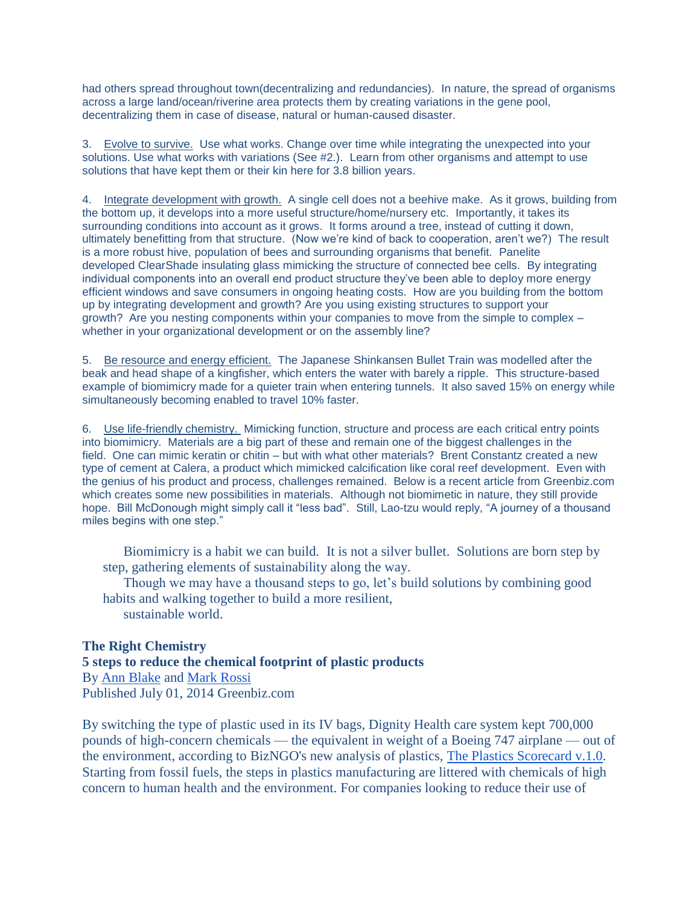had others spread throughout town(decentralizing and redundancies). In nature, the spread of organisms across a large land/ocean/riverine area protects them by creating variations in the gene pool, decentralizing them in case of disease, natural or human-caused disaster.

3. Evolve to survive. Use what works. Change over time while integrating the unexpected into your solutions. Use what works with variations (See #2.). Learn from other organisms and attempt to use solutions that have kept them or their kin here for 3.8 billion years.

4. Integrate development with growth. A single cell does not a beehive make. As it grows, building from the bottom up, it develops into a more useful structure/home/nursery etc. Importantly, it takes its surrounding conditions into account as it grows. It forms around a tree, instead of cutting it down, ultimately benefitting from that structure. (Now we're kind of back to cooperation, aren't we?) The result is a more robust hive, population of bees and surrounding organisms that benefit. Panelite developed ClearShade insulating glass mimicking the structure of connected bee cells. By integrating individual components into an overall end product structure they've been able to deploy more energy efficient windows and save consumers in ongoing heating costs. How are you building from the bottom up by integrating development and growth? Are you using existing structures to support your growth? Are you nesting components within your companies to move from the simple to complex – whether in your organizational development or on the assembly line?

5. Be resource and energy efficient. The Japanese Shinkansen Bullet Train was modelled after the beak and head shape of a kingfisher, which enters the water with barely a ripple. This structure-based example of biomimicry made for a quieter train when entering tunnels. It also saved 15% on energy while simultaneously becoming enabled to travel 10% faster.

6. Use life-friendly chemistry. Mimicking function, structure and process are each critical entry points into biomimicry. Materials are a big part of these and remain one of the biggest challenges in the field. One can mimic keratin or chitin – but with what other materials? Brent Constantz created a new type of cement at Calera, a product which mimicked calcification like coral reef development. Even with the genius of his product and process, challenges remained. Below is a recent article from Greenbiz.com which creates some new possibilities in materials. Although not biomimetic in nature, they still provide hope. Bill McDonough might simply call it "less bad". Still, Lao-tzu would reply, "A journey of a thousand miles begins with one step."

Biomimicry is a habit we can build. It is not a silver bullet. Solutions are born step by step, gathering elements of sustainability along the way.

Though we may have a thousand steps to go, let's build solutions by combining good habits and walking together to build a more resilient, sustainable world.

## **The Right Chemistry**

**5 steps to reduce the chemical footprint of plastic products** By [Ann Blake](http://www.greenbiz.com/bio/ann-blake) and [Mark Rossi](http://www.greenbiz.com/bio/mark-rossi) Published July 01, 2014 Greenbiz.com

By switching the type of plastic used in its IV bags, Dignity Health care system kept 700,000 pounds of high-concern chemicals — the equivalent in weight of a Boeing 747 airplane — out of the environment, according to BizNGO's new analysis of plastics, [The Plastics Scorecard v.1.0.](http://www.bizngo.org/sustainable-materials/plastics-scorecard) Starting from fossil fuels, the steps in plastics manufacturing are littered with chemicals of high concern to human health and the environment. For companies looking to reduce their use of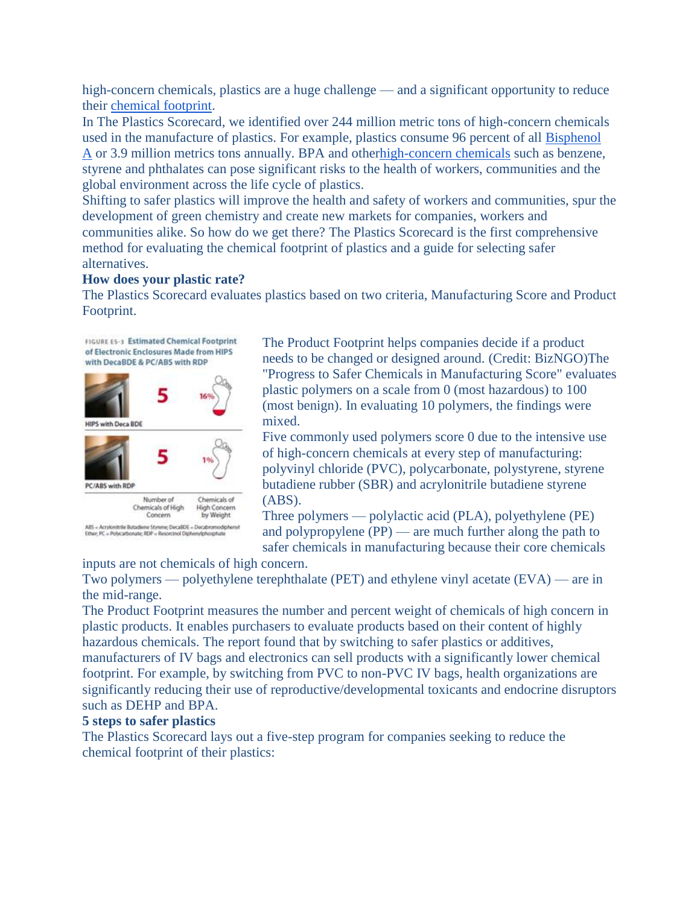high-concern chemicals, plastics are a huge challenge — and a significant opportunity to reduce their [chemical footprint.](http://www.greenbiz.com/blog/2013/04/19/why-every-company-has-chemical-footprint)

In The Plastics Scorecard, we identified over 244 million metric tons of high-concern chemicals used in the manufacture of plastics. For example, plastics consume 96 percent of all [Bisphenol](http://www.greenbiz.com/blog/2012/03/30/fda-rejects-petition-ban-bpa-food-packaging)  [A](http://www.greenbiz.com/blog/2012/03/30/fda-rejects-petition-ban-bpa-food-packaging) or 3.9 million metrics tons annually. BPA and othe[rhigh-concern chemicals](http://www.greenbiz.com/blog/2014/04/16/edf-report-staggering-amounts-toxics-made-us) such as benzene, styrene and phthalates can pose significant risks to the health of workers, communities and the global environment across the life cycle of plastics.

Shifting to safer plastics will improve the health and safety of workers and communities, spur the development of green chemistry and create new markets for companies, workers and communities alike. So how do we get there? The Plastics Scorecard is the first comprehensive method for evaluating the chemical footprint of plastics and a guide for selecting safer alternatives.

## **How does your plastic rate?**

The Plastics Scorecard evaluates plastics based on two criteria, Manufacturing Score and Product Footprint.

FIGURE ES-3 Estimated Chemical Footprint of Electronic Enclosures Made from HIPS with DecaBDE & PC/ABS with RDP



ABS = Acrylonitrile Butadiene Styrene; DecaBDE = Decabromodiphenyl<br>Ether; PC = Polycarbonate; RDP = Resorcinol Diphenylphosphate

The Product Footprint helps companies decide if a product needs to be changed or designed around. (Credit: BizNGO)The "Progress to Safer Chemicals in Manufacturing Score" evaluates plastic polymers on a scale from 0 (most hazardous) to 100 (most benign). In evaluating 10 polymers, the findings were mixed.

Five commonly used polymers score 0 due to the intensive use of high-concern chemicals at every step of manufacturing: polyvinyl chloride (PVC), polycarbonate, polystyrene, styrene butadiene rubber (SBR) and acrylonitrile butadiene styrene (ABS).

Three polymers — polylactic acid (PLA), polyethylene (PE) and polypropylene (PP) — are much further along the path to safer chemicals in manufacturing because their core chemicals

inputs are not chemicals of high concern.

Two polymers — polyethylene terephthalate (PET) and ethylene vinyl acetate (EVA) — are in the mid-range.

The Product Footprint measures the number and percent weight of chemicals of high concern in plastic products. It enables purchasers to evaluate products based on their content of highly hazardous chemicals. The report found that by switching to safer plastics or additives, manufacturers of IV bags and electronics can sell products with a significantly lower chemical footprint. For example, by switching from PVC to non-PVC IV bags, health organizations are significantly reducing their use of reproductive/developmental toxicants and endocrine disruptors such as DEHP and BPA.

## **5 steps to safer plastics**

The Plastics Scorecard lays out a five-step program for companies seeking to reduce the chemical footprint of their plastics: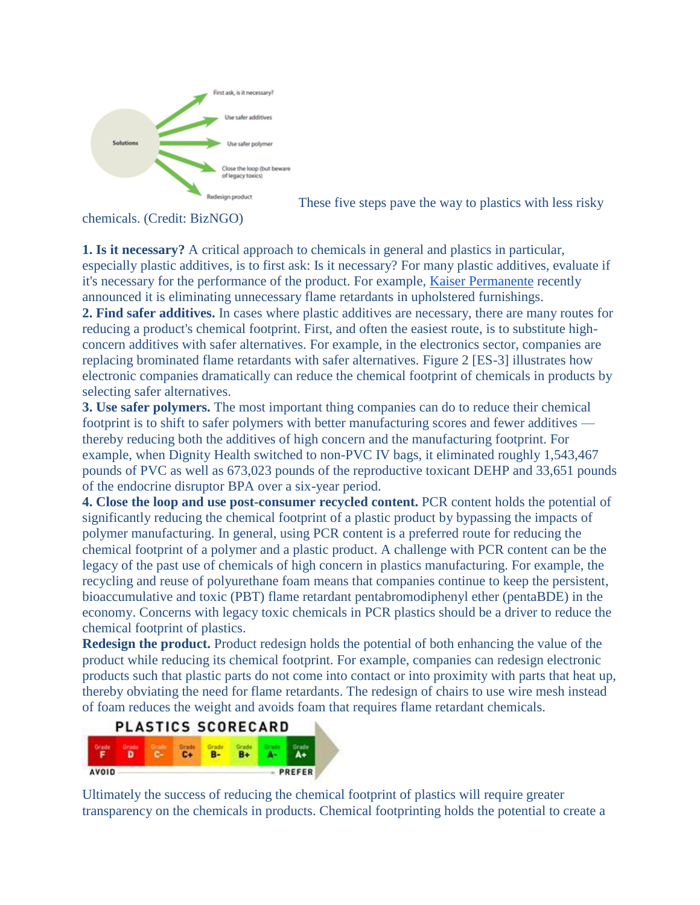

These five steps pave the way to plastics with less risky

chemicals. (Credit: BizNGO)

**1. Is it necessary?** A critical approach to chemicals in general and plastics in particular, especially plastic additives, is to first ask: Is it necessary? For many plastic additives, evaluate if it's necessary for the performance of the product. For example, [Kaiser Permanente](http://www.greenbiz.com/blog/2014/06/04/kaiser-permanente-no-flame-retardants) recently announced it is eliminating unnecessary flame retardants in upholstered furnishings.

**2. Find safer additives.** In cases where plastic additives are necessary, there are many routes for reducing a product's chemical footprint. First, and often the easiest route, is to substitute highconcern additives with safer alternatives. For example, in the electronics sector, companies are replacing brominated flame retardants with safer alternatives. Figure 2 [ES-3] illustrates how electronic companies dramatically can reduce the chemical footprint of chemicals in products by selecting safer alternatives.

**3. Use safer polymers.** The most important thing companies can do to reduce their chemical footprint is to shift to safer polymers with better manufacturing scores and fewer additives thereby reducing both the additives of high concern and the manufacturing footprint. For example, when Dignity Health switched to non-PVC IV bags, it eliminated roughly 1,543,467 pounds of PVC as well as 673,023 pounds of the reproductive toxicant DEHP and 33,651 pounds of the endocrine disruptor BPA over a six-year period.

**4. Close the loop and use post-consumer recycled content.** PCR content holds the potential of significantly reducing the chemical footprint of a plastic product by bypassing the impacts of polymer manufacturing. In general, using PCR content is a preferred route for reducing the chemical footprint of a polymer and a plastic product. A challenge with PCR content can be the legacy of the past use of chemicals of high concern in plastics manufacturing. For example, the recycling and reuse of polyurethane foam means that companies continue to keep the persistent, bioaccumulative and toxic (PBT) flame retardant pentabromodiphenyl ether (pentaBDE) in the economy. Concerns with legacy toxic chemicals in PCR plastics should be a driver to reduce the chemical footprint of plastics.

**Redesign the product.** Product redesign holds the potential of both enhancing the value of the product while reducing its chemical footprint. For example, companies can redesign electronic products such that plastic parts do not come into contact or into proximity with parts that heat up, thereby obviating the need for flame retardants. The redesign of chairs to use wire mesh instead of foam reduces the weight and avoids foam that requires flame retardant chemicals.



Ultimately the success of reducing the chemical footprint of plastics will require greater transparency on the chemicals in products. Chemical footprinting holds the potential to create a